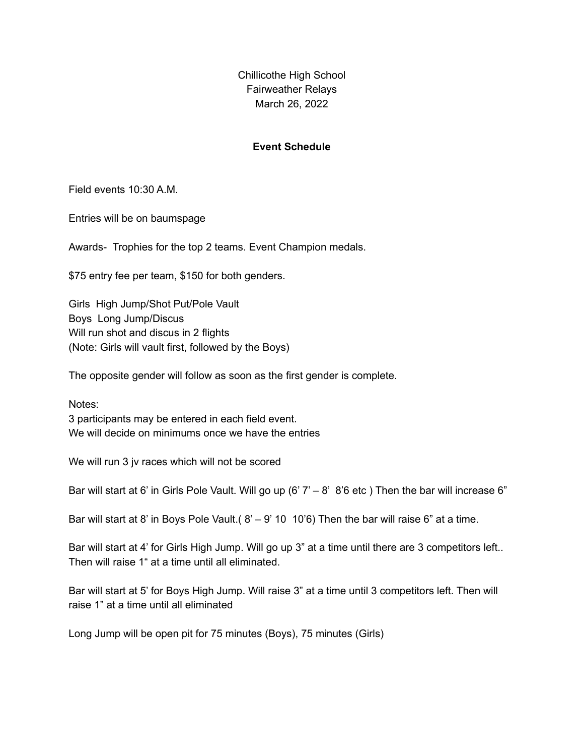Chillicothe High School Fairweather Relays March 26, 2022

## **Event Schedule**

Field events 10:30 A.M.

Entries will be on baumspage

Awards- Trophies for the top 2 teams. Event Champion medals.

\$75 entry fee per team, \$150 for both genders.

Girls High Jump/Shot Put/Pole Vault Boys Long Jump/Discus Will run shot and discus in 2 flights (Note: Girls will vault first, followed by the Boys)

The opposite gender will follow as soon as the first gender is complete.

Notes:

3 participants may be entered in each field event. We will decide on minimums once we have the entries

We will run 3 jv races which will not be scored

Bar will start at 6' in Girls Pole Vault. Will go up (6'  $7' - 8'$  8'6 etc) Then the bar will increase 6"

Bar will start at 8' in Boys Pole Vault.  $(8' - 9' 10 10'6)$  Then the bar will raise 6" at a time.

Bar will start at 4' for Girls High Jump. Will go up 3" at a time until there are 3 competitors left.. Then will raise 1" at a time until all eliminated.

Bar will start at 5' for Boys High Jump. Will raise 3" at a time until 3 competitors left. Then will raise 1" at a time until all eliminated

Long Jump will be open pit for 75 minutes (Boys), 75 minutes (Girls)